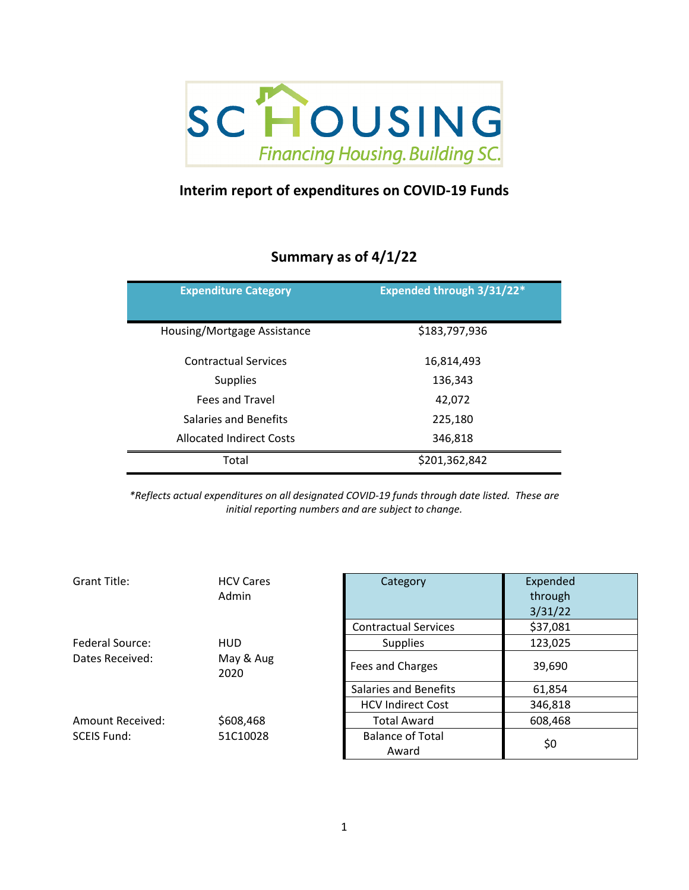

## **Interim report of expenditures on COVID-19 Funds**

## **Summary as of 4/1/22**

| <b>Expenditure Category</b>     | <b>Expended through 3/31/22*</b> |
|---------------------------------|----------------------------------|
| Housing/Mortgage Assistance     | \$183,797,936                    |
| <b>Contractual Services</b>     | 16,814,493                       |
| <b>Supplies</b>                 | 136,343                          |
| <b>Fees and Travel</b>          | 42,072                           |
| Salaries and Benefits           | 225,180                          |
| <b>Allocated Indirect Costs</b> | 346,818                          |
| Total                           | \$201,362,842                    |

*\*Reflects actual expenditures on all designated COVID-19 funds through date listed. These are initial reporting numbers and are subject to change.*

| Grant Title:           | <b>HCV Cares</b><br>Admin | Category                         | Expended<br>through<br>3/31/22 |
|------------------------|---------------------------|----------------------------------|--------------------------------|
|                        |                           | <b>Contractual Services</b>      | \$37,081                       |
| <b>Federal Source:</b> | <b>HUD</b>                | <b>Supplies</b>                  | 123,025                        |
| Dates Received:        | May & Aug<br>2020         | Fees and Charges                 | 39,690                         |
|                        |                           | <b>Salaries and Benefits</b>     | 61,854                         |
|                        |                           | <b>HCV Indirect Cost</b>         | 346,818                        |
| Amount Received:       | \$608,468                 | <b>Total Award</b>               | 608,468                        |
| <b>SCEIS Fund:</b>     | 51C10028                  | <b>Balance of Total</b><br>Award | \$0                            |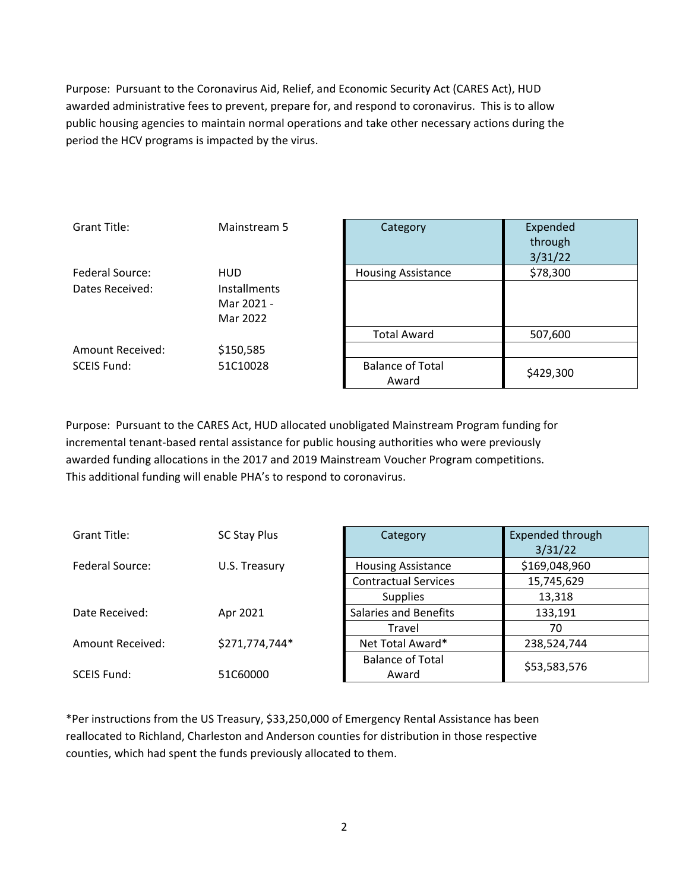Purpose: Pursuant to the Coronavirus Aid, Relief, and Economic Security Act (CARES Act), HUD awarded administrative fees to prevent, prepare for, and respond to coronavirus. This is to allow public housing agencies to maintain normal operations and take other necessary actions during the period the HCV programs is impacted by the virus.

| Grant Title:       | Mainstream 5        | Category                  | Expended  |
|--------------------|---------------------|---------------------------|-----------|
|                    |                     |                           | through   |
|                    |                     |                           | 3/31/22   |
| Federal Source:    | <b>HUD</b>          | <b>Housing Assistance</b> | \$78,300  |
| Dates Received:    | <b>Installments</b> |                           |           |
|                    | Mar 2021 -          |                           |           |
|                    | Mar 2022            |                           |           |
|                    |                     | <b>Total Award</b>        | 507,600   |
| Amount Received:   | \$150,585           |                           |           |
| <b>SCEIS Fund:</b> | 51C10028            | <b>Balance of Total</b>   | \$429,300 |
|                    |                     | Award                     |           |

Purpose: Pursuant to the CARES Act, HUD allocated unobligated Mainstream Program funding for incremental tenant-based rental assistance for public housing authorities who were previously awarded funding allocations in the 2017 and 2019 Mainstream Voucher Program competitions. This additional funding will enable PHA's to respond to coronavirus.

| <b>Grant Title:</b> | <b>SC Stay Plus</b> | Category                     | Expended through<br>3/31/22 |
|---------------------|---------------------|------------------------------|-----------------------------|
| Federal Source:     | U.S. Treasury       | <b>Housing Assistance</b>    | \$169,048,960               |
|                     |                     | <b>Contractual Services</b>  | 15,745,629                  |
|                     |                     | <b>Supplies</b>              | 13,318                      |
| Date Received:      | Apr 2021            | <b>Salaries and Benefits</b> | 133,191                     |
|                     |                     | Travel                       | 70                          |
| Amount Received:    | \$271,774,744*      | Net Total Award*             | 238,524,744                 |
|                     |                     | <b>Balance of Total</b>      | \$53,583,576                |
| <b>SCEIS Fund:</b>  | 51C60000            | Award                        |                             |

\*Per instructions from the US Treasury, \$33,250,000 of Emergency Rental Assistance has been reallocated to Richland, Charleston and Anderson counties for distribution in those respective counties, which had spent the funds previously allocated to them.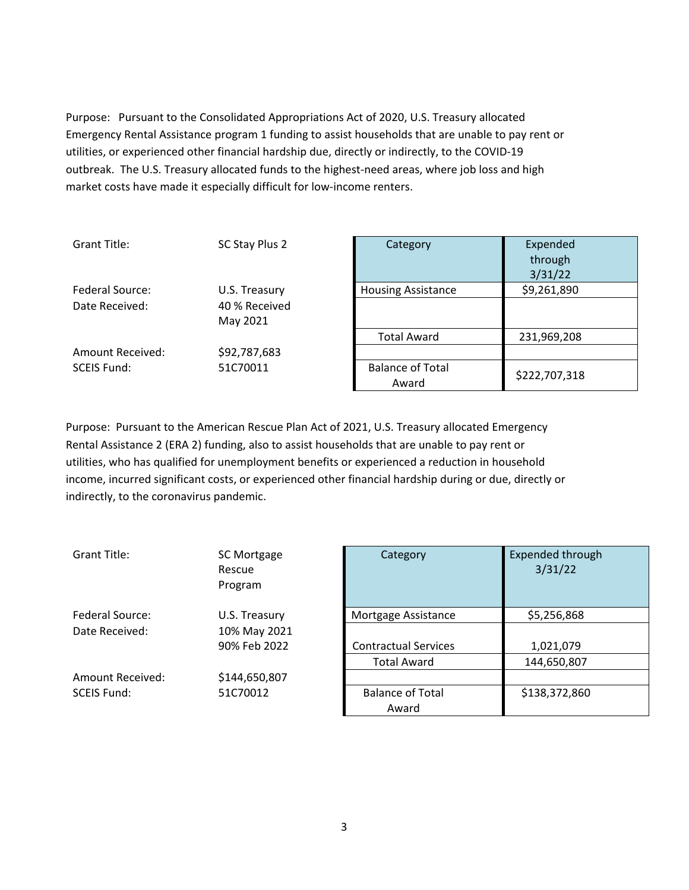Purpose: Pursuant to the Consolidated Appropriations Act of 2020, U.S. Treasury allocated Emergency Rental Assistance program 1 funding to assist households that are unable to pay rent or utilities, or experienced other financial hardship due, directly or indirectly, to the COVID-19 outbreak. The U.S. Treasury allocated funds to the highest-need areas, where job loss and high market costs have made it especially difficult for low-income renters.

| Grant Title:       | SC Stay Plus 2 | Category                         | Expended<br>through<br>3/31/22 |
|--------------------|----------------|----------------------------------|--------------------------------|
| Federal Source:    | U.S. Treasury  | <b>Housing Assistance</b>        | \$9,261,890                    |
| Date Received:     | 40 % Received  |                                  |                                |
|                    | May 2021       |                                  |                                |
|                    |                | <b>Total Award</b>               | 231,969,208                    |
| Amount Received:   | \$92,787,683   |                                  |                                |
| <b>SCEIS Fund:</b> | 51C70011       | <b>Balance of Total</b><br>Award | \$222,707,318                  |

Purpose: Pursuant to the American Rescue Plan Act of 2021, U.S. Treasury allocated Emergency Rental Assistance 2 (ERA 2) funding, also to assist households that are unable to pay rent or utilities, who has qualified for unemployment benefits or experienced a reduction in household income, incurred significant costs, or experienced other financial hardship during or due, directly or indirectly, to the coronavirus pandemic.

| <b>Grant Title:</b> | SC Mortgage<br>Rescue<br>Program | Category                         | <b>Expended thro</b><br>3/31/22 |
|---------------------|----------------------------------|----------------------------------|---------------------------------|
| Federal Source:     | U.S. Treasury                    | Mortgage Assistance              | \$5,256,868                     |
| Date Received:      | 10% May 2021                     |                                  |                                 |
|                     | 90% Feb 2022                     | <b>Contractual Services</b>      | 1,021,079                       |
|                     |                                  | <b>Total Award</b>               | 144,650,807                     |
| Amount Received:    | \$144,650,807                    |                                  |                                 |
| <b>SCEIS Fund:</b>  | 51C70012                         | <b>Balance of Total</b><br>Award | \$138,372,86                    |

| SC Mortgage<br>Rescue<br>Program | Category                    | <b>Expended through</b><br>3/31/22 |
|----------------------------------|-----------------------------|------------------------------------|
| U.S. Treasury                    | Mortgage Assistance         | \$5,256,868                        |
| 10% May 2021                     |                             |                                    |
| 90% Feb 2022                     | <b>Contractual Services</b> | 1,021,079                          |
|                                  | <b>Total Award</b>          | 144,650,807                        |
| \$144,650,807                    |                             |                                    |
| 51C70012                         | <b>Balance of Total</b>     | \$138,372,860                      |
|                                  | Award                       |                                    |